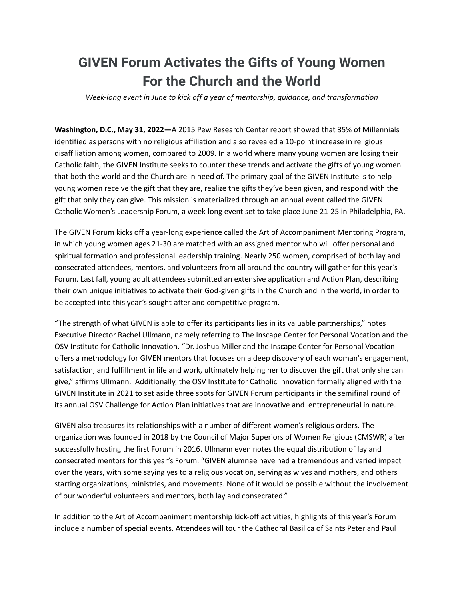## **GIVEN Forum Activates the Gifts of Young Women For the Church and the World**

*Week-long event in June to kick off a year of mentorship, guidance, and transformation*

**Washington, D.C., May 31, 2022—**A 2015 Pew Research Center report showed that 35% of Millennials identified as persons with no religious affiliation and also revealed a 10-point increase in religious disaffiliation among women, compared to 2009. In a world where many young women are losing their Catholic faith, the GIVEN Institute seeks to counter these trends and activate the gifts of young women that both the world and the Church are in need of. The primary goal of the GIVEN Institute is to help young women receive the gift that they are, realize the gifts they've been given, and respond with the gift that only they can give. This mission is materialized through an annual event called the GIVEN Catholic Women's Leadership Forum, a week-long event set to take place June 21-25 in Philadelphia, PA.

The GIVEN Forum kicks off a year-long experience called the Art of Accompaniment Mentoring Program, in which young women ages 21-30 are matched with an assigned mentor who will offer personal and spiritual formation and professional leadership training. Nearly 250 women, comprised of both lay and consecrated attendees, mentors, and volunteers from all around the country will gather for this year's Forum. Last fall, young adult attendees submitted an extensive application and Action Plan, describing their own unique initiatives to activate their God-given gifts in the Church and in the world, in order to be accepted into this year's sought-after and competitive program.

"The strength of what GIVEN is able to offer its participants lies in its valuable partnerships," notes Executive Director Rachel Ullmann, namely referring to The Inscape Center for Personal Vocation and the OSV Institute for Catholic Innovation. "Dr. Joshua Miller and the Inscape Center for Personal Vocation offers a methodology for GIVEN mentors that focuses on a deep discovery of each woman's engagement, satisfaction, and fulfillment in life and work, ultimately helping her to discover the gift that only she can give," affirms Ullmann. Additionally, the OSV Institute for Catholic Innovation formally aligned with the GIVEN Institute in 2021 to set aside three spots for GIVEN Forum participants in the semifinal round of its annual OSV Challenge for Action Plan initiatives that are innovative and entrepreneurial in nature.

GIVEN also treasures its relationships with a number of different women's religious orders. The organization was founded in 2018 by the Council of Major Superiors of Women Religious (CMSWR) after successfully hosting the first Forum in 2016. Ullmann even notes the equal distribution of lay and consecrated mentors for this year's Forum. "GIVEN alumnae have had a tremendous and varied impact over the years, with some saying yes to a religious vocation, serving as wives and mothers, and others starting organizations, ministries, and movements. None of it would be possible without the involvement of our wonderful volunteers and mentors, both lay and consecrated."

In addition to the Art of Accompaniment mentorship kick-off activities, highlights of this year's Forum include a number of special events. Attendees will tour the Cathedral Basilica of Saints Peter and Paul